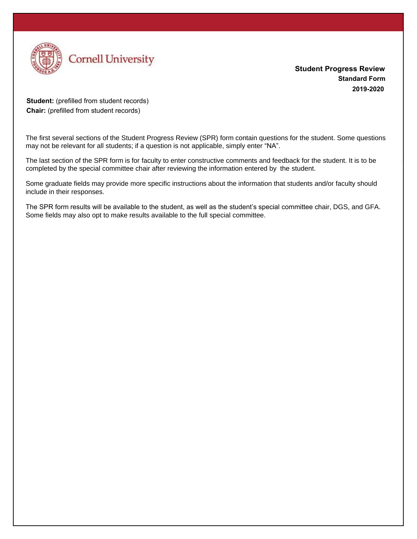

**Student Progress Review Standard Form 2019-2020** 

**Student:** (prefilled from student records) **Chair:** (prefilled from student records)

The first several sections of the Student Progress Review (SPR) form contain questions for the student. Some questions may not be relevant for all students; if a question is not applicable, simply enter "NA".

The last section of the SPR form is for faculty to enter constructive comments and feedback for the student. It is to be completed by the special committee chair after reviewing the information entered by the student.

Some graduate fields may provide more specific instructions about the information that students and/or faculty should include in their responses.

The SPR form results will be available to the student, as well as the student's special committee chair, DGS, and GFA. Some fields may also opt to make results available to the full special committee.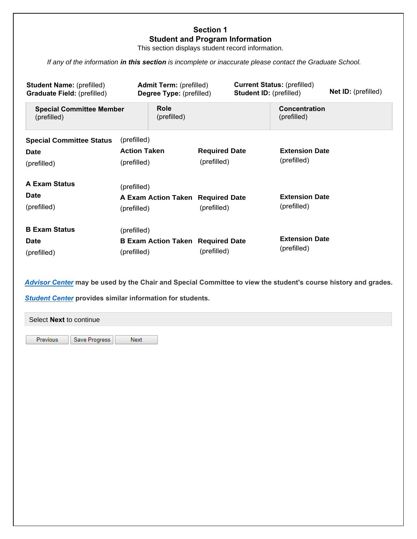### **Section 1 Student and Program Information**

This section displays student record information.

*If any of the information in this section is incomplete or inaccurate please contact the Graduate School.*

| <b>Student Name: (prefilled)</b><br><b>Graduate Field: (prefilled)</b> | <b>Admit Term:</b> (prefilled)<br>Degree Type: (prefilled) |                      | <b>Current Status: (prefilled)</b><br><b>Student ID: (prefilled)</b> | <b>Net ID:</b> (prefilled) |
|------------------------------------------------------------------------|------------------------------------------------------------|----------------------|----------------------------------------------------------------------|----------------------------|
| <b>Special Committee Member</b><br>(prefilled)                         | <b>Role</b><br>(prefilled)                                 |                      | Concentration<br>(prefilled)                                         |                            |
| <b>Special Committee Status</b>                                        | (prefilled)<br><b>Action Taken</b>                         | <b>Required Date</b> | <b>Extension Date</b>                                                |                            |
| <b>Date</b><br>(prefilled)                                             | (prefilled)                                                | (prefilled)          | (prefilled)                                                          |                            |
| <b>A Exam Status</b>                                                   | (prefilled)                                                |                      |                                                                      |                            |
| <b>Date</b><br>(prefilled)                                             | A Exam Action Taken Required Date<br>(prefilled)           | (prefilled)          | <b>Extension Date</b><br>(prefilled)                                 |                            |
| <b>B Exam Status</b>                                                   | (prefilled)                                                |                      |                                                                      |                            |
| <b>Date</b><br>(prefilled)                                             | <b>B Exam Action Taken Required Date</b><br>(prefilled)    | (prefilled)          | <b>Extension Date</b><br>(prefilled)                                 |                            |

*Advisor Center* **may be used by the Chair and Special Committee to view the student's course history and grades.**

*Student Center* **provides similar information for students.**

| Select Next to continue |               |      |  |  |
|-------------------------|---------------|------|--|--|
| Previous                | Save Progress | Next |  |  |
|                         |               |      |  |  |
|                         |               |      |  |  |
|                         |               |      |  |  |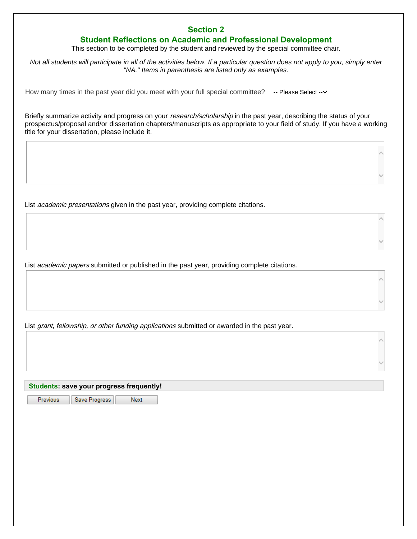## **Section 2**

## **Student Reflections on Academic and Professional Development**

This section to be completed by the student and reviewed by the special committee chair.

*Not all students will participate in all of the activities below. If a particular question does not apply to you, simply enter "NA." Items in parenthesis are listed only as examples.* 

How many times in the past year did you meet with your full special committee? -- Please Select--

Briefly summarize activity and progress on your research/scholarship in the past year, describing the status of your prospectus/proposal and/or dissertation chapters/manuscripts as appropriate to your field of study. If you have a working title for your dissertation, please include it.

List *academic presentations* given in the past year, providing complete citations.

List *academic papers* submitted or published in the past year, providing complete citations.

List grant, fellowship, or other funding applications submitted or awarded in the past year.

**Students: save your progress frequently!** 

Previous Save Progress

**Next**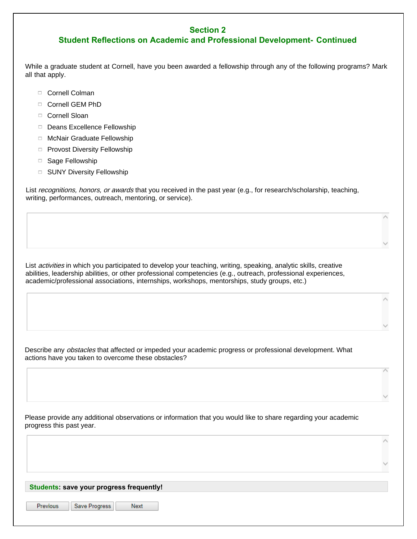## **Section 2**

# **Student Reflections on Academic and Professional Development- Continued**

While a graduate student at Cornell, have you been awarded a fellowship through any of the following programs? Mark all that apply.

- □ Cornell Colman
- □ Cornell GEM PhD
- □ Cornell Sloan
- □ Deans Excellence Fellowship
- □ McNair Graduate Fellowship
- □ Provost Diversity Fellowship
- □ Sage Fellowship
- □ SUNY Diversity Fellowship

List recognitions, honors, or awards that you received in the past year (e.g., for research/scholarship, teaching, writing, performances, outreach, mentoring, or service).

List *activities* in which you participated to develop your teaching, writing, speaking, analytic skills, creative abilities, leadership abilities, or other professional competencies (e.g., outreach, professional experiences, academic/professional associations, internships, workshops, mentorships, study groups, etc.)

Describe any *obstacles* that affected or impeded your academic progress or professional development. What actions have you taken to overcome these obstacles?

Please provide any additional observations or information that you would like to share regarding your academic progress this past year.

#### **Students: save your progress frequently!**

Previous

Save Progress Next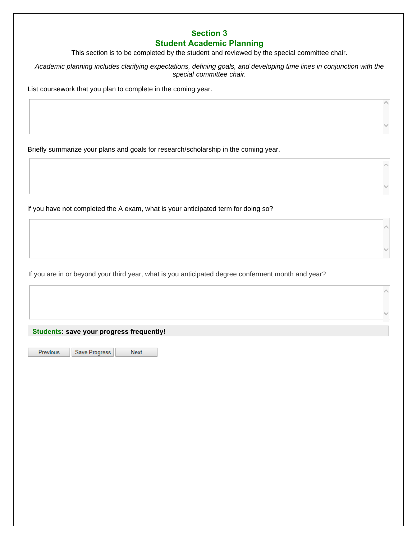# **Section 3 Student Academic Planning**

This section is to be completed by the student and reviewed by the special committee chair.

*Academic planning includes clarifying expectations, defining goals, and developing time lines in conjunction with the special committee chair.* 

 $\land$ 

 $\land$ 

List coursework that you plan to complete in the coming year.

Briefly summarize your plans and goals for research/scholarship in the coming year.

If you have not completed the A exam, what is your anticipated term for doing so?

If you are in or beyond your third year, what is you anticipated degree conferment month and year?

**Students: save your progress frequently!**

Previous

Save Progress Next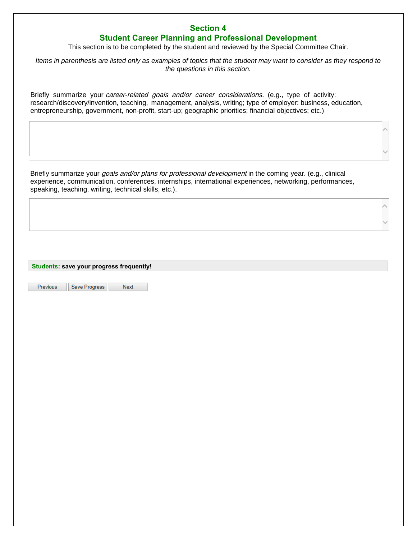# **Section 4**

# **Student Career Planning and Professional Development**

This section is to be completed by the student and reviewed by the Special Committee Chair.

*Items in parenthesis are listed only as examples of topics that the student may want to consider as they respond to the questions in this section.* 

Briefly summarize your *career-related goals and/or career considerations*. (e.g., type of activity: research/discovery/invention, teaching, management, analysis, writing; type of employer: business, education, entrepreneurship, government, non-profit, start-up; geographic priorities; financial objectives; etc.)

Briefly summarize your *goals and/or plans for professional development* in the coming year. (e.g., clinical experience, communication, conferences, internships, international experiences, networking, performances, speaking, teaching, writing, technical skills, etc.).

**Students: save your progress frequently!** 

Previous

Save Progress Next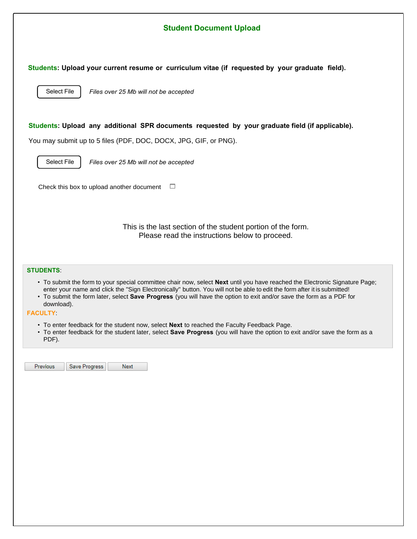| <b>Student Document Upload</b>                                                                                                                                                                                                                                                                                                                                                                                                                                                                                                                                                                                                                                             |  |  |  |
|----------------------------------------------------------------------------------------------------------------------------------------------------------------------------------------------------------------------------------------------------------------------------------------------------------------------------------------------------------------------------------------------------------------------------------------------------------------------------------------------------------------------------------------------------------------------------------------------------------------------------------------------------------------------------|--|--|--|
| Students: Upload your current resume or curriculum vitae (if requested by your graduate field).<br>Select File<br>Files over 25 Mb will not be accepted                                                                                                                                                                                                                                                                                                                                                                                                                                                                                                                    |  |  |  |
| Students: Upload any additional SPR documents requested by your graduate field (if applicable).<br>You may submit up to 5 files (PDF, DOC, DOCX, JPG, GIF, or PNG).                                                                                                                                                                                                                                                                                                                                                                                                                                                                                                        |  |  |  |
| Select File<br>Files over 25 Mb will not be accepted                                                                                                                                                                                                                                                                                                                                                                                                                                                                                                                                                                                                                       |  |  |  |
| Check this box to upload another document<br>□                                                                                                                                                                                                                                                                                                                                                                                                                                                                                                                                                                                                                             |  |  |  |
| This is the last section of the student portion of the form.<br>Please read the instructions below to proceed.                                                                                                                                                                                                                                                                                                                                                                                                                                                                                                                                                             |  |  |  |
| <b>STUDENTS:</b><br>• To submit the form to your special committee chair now, select Next until you have reached the Electronic Signature Page;<br>enter your name and click the "Sign Electronically" button. You will not be able to edit the form after it is submitted!<br>• To submit the form later, select Save Progress (you will have the option to exit and/or save the form as a PDF for<br>download).<br><b>FACULTY:</b><br>• To enter feedback for the student now, select Next to reached the Faculty Feedback Page.<br>• To enter feedback for the student later, select Save Progress (you will have the option to exit and/or save the form as a<br>PDF). |  |  |  |
| Save Progress<br><b>Previous</b><br>Next                                                                                                                                                                                                                                                                                                                                                                                                                                                                                                                                                                                                                                   |  |  |  |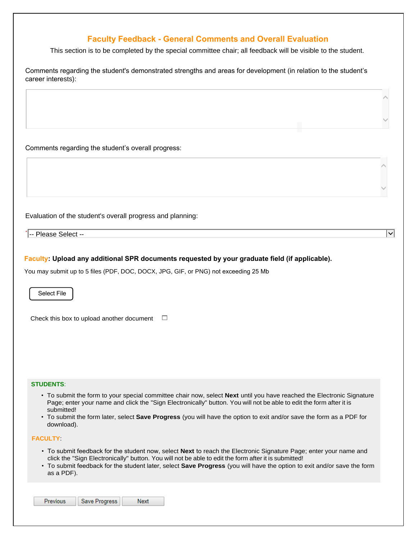## **Faculty Feedback - General Comments and Overall Evaluation**

This section is to be completed by the special committee chair; all feedback will be visible to the student.

| Comments regarding the student's demonstrated strengths and areas for development (in relation to the student's |
|-----------------------------------------------------------------------------------------------------------------|
| career interests):                                                                                              |

Comments regarding the student's overall progress:

Evaluation of the student's overall progress and planning:

\* -- Please Select --

#### **Faculty: Upload any additional SPR documents requested by your graduate field (if applicable).**

You may submit up to 5 files (PDF, DOC, DOCX, JPG, GIF, or PNG) not exceeding 25 Mb

Select File

Check this box to upload another document  $\square$ 

#### **STUDENTS**:

• To submit the form to your special committee chair now, select **Next** until you have reached the Electronic Signature Page; enter your name and click the "Sign Electronically" button. You will not be able to edit the form after it is submitted!

 $\overline{|\mathbf{v}|}$ 

• To submit the form later, select **Save Progress** (you will have the option to exit and/or save the form as a PDF for download).

#### **FACULTY**:

- To submit feedback for the student now, select **Next** to reach the Electronic Signature Page; enter your name and click the "Sign Electronically" button. You will not be able to edit the form after it is submitted!
- To submit feedback for the student later, select **Save Progress** (you will have the option to exit and/or save the form as a PDF).

| <b>Previous</b> | Save Progress | Next |
|-----------------|---------------|------|
|-----------------|---------------|------|